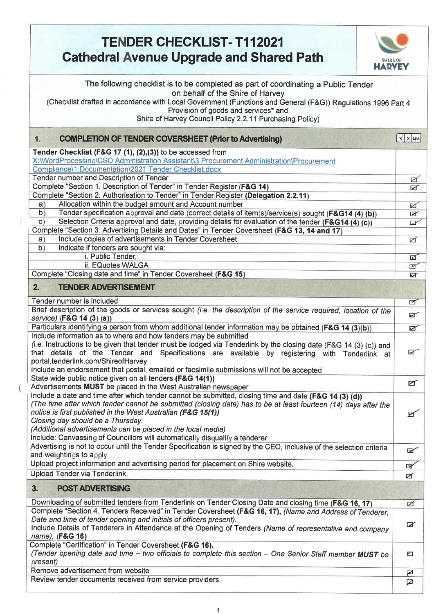| <b>TENDER CHECKLIST-T112021</b><br><b>Cathedral Avenue Upgrade and Shared Path</b><br><b>SHIRE OF</b><br><b>HARVEY</b>                                                                                                                                                                                                                                                                                                                                                         |                       |
|--------------------------------------------------------------------------------------------------------------------------------------------------------------------------------------------------------------------------------------------------------------------------------------------------------------------------------------------------------------------------------------------------------------------------------------------------------------------------------|-----------------------|
| The following checklist is to be completed as part of coordinating a Public Tender<br>on behalf of the Shire of Harvey<br>(Checklist drafted in accordance with Local Government (Functions and General (F&G)) Regulations 1996 Part 4<br>Provision of goods and services* and<br>Shire of Harvey Council Policy 2.2.11 Purchasing Policy)                                                                                                                                     |                       |
| <b>COMPLETION OF TENDER COVERSHEET (Prior to Advertising)</b><br>1.                                                                                                                                                                                                                                                                                                                                                                                                            | $\sqrt{x}$ $\sqrt{x}$ |
| Tender Checklist (F&G 17 (1), (2),(3)) to be accessed from<br>X:\\/VordProcessing\CSO Administration Assistant\3.Procurement Administration\Procurement<br>Compliance\1.Documentation\2021 Tender Checklist.docx<br>Tender number and Description of Tender                                                                                                                                                                                                                    |                       |
| Complete "Section 1. Description of Tender" in Tender Register (F&G 14)                                                                                                                                                                                                                                                                                                                                                                                                        | Ø<br>Ø                |
| Complete "Section 2. Authorisation to Tender" in Tender Register (Delegation 2.2.11)                                                                                                                                                                                                                                                                                                                                                                                           |                       |
| Allocation within the budget amount and Account number<br>a)                                                                                                                                                                                                                                                                                                                                                                                                                   | ☑                     |
| b)<br>Tender specification approval and date (correct details of item(s)/service(s) sought (F&G14 (4) (b))<br>Selection Criteria approval and date, providing details for evaluation of the tender (F&G14 (4) (c))<br>c)                                                                                                                                                                                                                                                       | Ø<br>$\mathbb{F}$     |
| Complete "Section 3. Advertising Details and Dates" in Tender Coversheet (F&G 13, 14 and 17)                                                                                                                                                                                                                                                                                                                                                                                   |                       |
| Include copies of advertisements in Tender Coversheet<br>a)                                                                                                                                                                                                                                                                                                                                                                                                                    | ø                     |
| Indicate if tenders are sought via:<br>b)                                                                                                                                                                                                                                                                                                                                                                                                                                      |                       |
| i. Public Tender,<br>ii. EQuotes WALGA                                                                                                                                                                                                                                                                                                                                                                                                                                         | 可<br>$\blacksquare$   |
| Complete "Closing date and time" in Tender Coversheet (F&G 15)                                                                                                                                                                                                                                                                                                                                                                                                                 | Ø                     |
| <b>TENDER ADVERTISEMENT</b><br>2.                                                                                                                                                                                                                                                                                                                                                                                                                                              |                       |
| Tender number is included                                                                                                                                                                                                                                                                                                                                                                                                                                                      | $\blacksquare$        |
| Brief description of the goods or services sought (i.e. the description of the service required, location of the<br>service) (F&G 14 (3) (a))                                                                                                                                                                                                                                                                                                                                  | Ø                     |
| Particulars identifying a person from whom additional tender information may be obtained (F&G 14 (3)(b))                                                                                                                                                                                                                                                                                                                                                                       | Ø                     |
| Include information as to where and how tenders may be submitted<br>(i.e. Instructions to be given that tender must be lodged via Tenderlink by the closing date (F&G 14 (3) (c)) and<br>that details of the Tender and Specifications are available by registering with Tenderlink at<br>portal.tenderlink.com/ShireofHarvey<br>include an endorsement that postal, emailed or facsimile submissions will not be accepted                                                     | ☑                     |
| State wide public notice given on all tenders (F&G 14(1))<br>Advertisements MUST be placed in the West Australian newspaper                                                                                                                                                                                                                                                                                                                                                    | Ø                     |
| Include a date and time after which tender cannot be submitted, closing time and date (F&G 14 (3) (d))<br>(The time after which tender cannot be submitted (closing date) has to be at least fourteen (14) days after the<br>notice is first published in the West Australian (F&G 15(1))<br>Closing day should be a Thursday.<br>(Additional advertisements can be placed in the local media)<br>Include: Canvassing of Councillors will automatically disqualify a tenderer. | $\blacksquare$        |
| Advertising is not to occur until the Tender Specification is signed by the CEO, inclusive of the selection criteria<br>and weightings to apply                                                                                                                                                                                                                                                                                                                                | $\mathbb{R}$          |
| Upload project information and advertising period for placement on Shire website.                                                                                                                                                                                                                                                                                                                                                                                              | ৰ্ভ                   |
| Upload Tender via Tenderlink.                                                                                                                                                                                                                                                                                                                                                                                                                                                  | Ø                     |
| <b>POST ADVERTISING</b><br>3.                                                                                                                                                                                                                                                                                                                                                                                                                                                  |                       |
| Downloading of submitted tenders from Tenderlink on Tender Closing Date and closing time (F&G 16, 17)                                                                                                                                                                                                                                                                                                                                                                          | ø                     |
| Complete "Section 4. Tenders Received" in Tender Coversheet (F&G 16, 17), (Name and Address of Tenderer,<br>Date and time of tender opening and initials of officers present).<br>Include Details of Tenderers in Attendance at the Opening of Tenders (Name of representative and company<br>name), (F&G 16)                                                                                                                                                                  | Ø                     |
| Complete "Certification" in Tender Coversheet (F&G 16).<br>(Tender opening date and time - two officials to complete this section - One Senior Staff member MUST be<br>present)                                                                                                                                                                                                                                                                                                | ▱                     |
| Remove advertisement from website                                                                                                                                                                                                                                                                                                                                                                                                                                              | ◪                     |
| Review tender documents received from service providers                                                                                                                                                                                                                                                                                                                                                                                                                        | ☑                     |

Τ

€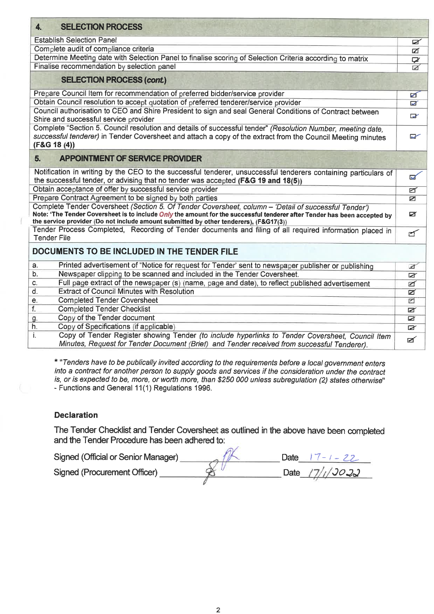| <b>SELECTION PROCESS</b><br>4.                                                                                                                                                                                                                                                                                                   |                         |
|----------------------------------------------------------------------------------------------------------------------------------------------------------------------------------------------------------------------------------------------------------------------------------------------------------------------------------|-------------------------|
| <b>Establish Selection Panel</b>                                                                                                                                                                                                                                                                                                 | Ø                       |
| Complete audit of compliance criteria                                                                                                                                                                                                                                                                                            | ☑                       |
| Determine Meeting date with Selection Panel to finalise scoring of Selection Criteria according to matrix                                                                                                                                                                                                                        | ₽                       |
| Finalise recommendation by selection panel                                                                                                                                                                                                                                                                                       | $\triangleright$        |
| <b>SELECTION PROCESS (cont.)</b>                                                                                                                                                                                                                                                                                                 |                         |
| Prepare Council Item for recommendation of preferred bidder/service provider                                                                                                                                                                                                                                                     | ☑                       |
| Obtain Council resolution to accept quotation of preferred tenderer/service provider                                                                                                                                                                                                                                             | o                       |
| Council authorisation to CEO and Shire President to sign and seal General Conditions of Contract between<br>Shire and successful service provider                                                                                                                                                                                | $\overline{\mathbf{v}}$ |
| Complete "Section 5. Council resolution and details of successful tender" (Resolution Number, meeting date.<br>successful tenderer) in Tender Coversheet and attach a copy of the extract from the Council Meeting minutes<br>$(F&G$ 18 (4))                                                                                     | $\sim$                  |
| <b>APPOINTMENT OF SERVICE PROVIDER</b><br>5.                                                                                                                                                                                                                                                                                     |                         |
| Notification in writing by the CEO to the successful tenderer, unsuccessful tenderers containing particulars of<br>the successful tender, or advising that no tender was accepted (F&G 19 and 18(5))                                                                                                                             | $\overline{\mathbf{u}}$ |
| Obtain acceptance of offer by successful service provider                                                                                                                                                                                                                                                                        | ø                       |
| Prepare Contract Agreement to be signed by both parties                                                                                                                                                                                                                                                                          | ▱                       |
| Complete Tender Coversheet (Section 5. Of Tender Coversheet, column - 'Detail of successful Tender')<br>Note: 'The Tender Coversheet is to include <i>Only</i> the amount for the successful tenderer after Tender has been accepted by<br>the service provider (Do not include amount submitted by other tenderers), (F&G17(3)) | Ø                       |
| Tender Process Completed, Recording of Tender documents and filing of all required information placed in<br><b>Tender File</b>                                                                                                                                                                                                   | $\blacksquare$          |
| DOCUMENTS TO BE INCLUDED IN THE TENDER FILE                                                                                                                                                                                                                                                                                      |                         |
| Printed advertisement of "Notice for request for Tender' sent to newspaper publisher or publishing<br>а.                                                                                                                                                                                                                         | Ø                       |
| b.<br>Newspaper clipping to be scanned and included in the Tender Coversheet.                                                                                                                                                                                                                                                    | Ø                       |
| Full page extract of the newspaper (s) (name, page and date), to reflect published advertisement<br>C.                                                                                                                                                                                                                           | ☑                       |
| d.<br><b>Extract of Council Minutes with Resolution</b>                                                                                                                                                                                                                                                                          | Ø                       |
| <b>Completed Tender Coversheet</b><br>е.                                                                                                                                                                                                                                                                                         | M                       |
| f.<br><b>Completed Tender Checklist</b>                                                                                                                                                                                                                                                                                          | ø                       |
| Copy of the Tender document<br>g.                                                                                                                                                                                                                                                                                                | Ø                       |
| Copy of Specifications (if applicable)<br>h.                                                                                                                                                                                                                                                                                     | $\mathbb{R}$            |
| Copy of Tender Register showing Tender (to include hyperlinks to Tender Coversheet, Council Item<br>İ.<br>Minutes, Request for Tender Document (Brief) and Tender received from successful Tenderer).                                                                                                                            | Ø                       |

*\* "Tenders have to be publically invited according to the requirements before a local government enters into a contract for another person to supply goods and services if the consideration under the contract is, or is expected to be, more, or worth more, than \$250 000 unless subregulation (2) states otherwise"*  - Functions and General 11(1) Regulations 1996.

## **Declaration**

ï

The Tender Checklist and Tender Coversheet as outlined in the above have been completed and the Tender Procedure has been adhered to:

Signed (Official or Senior Manager)<br>Signed (Procurement Officer) <u>Branch Bate 17/1/0022</u> Signed (Procurement Officer)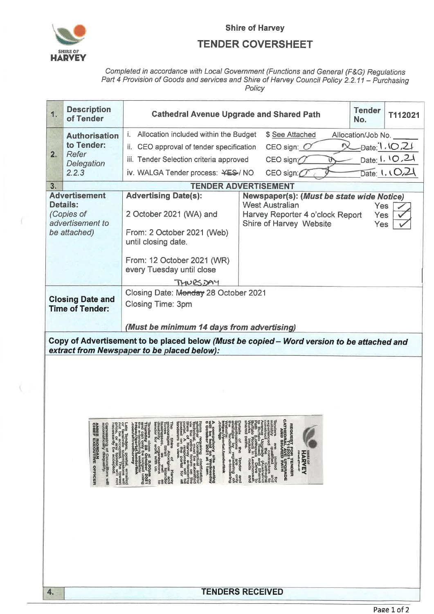

ť

U

## **Shire of Harvey**

## **TENDER COVERSHEET**

Completed in accordance with Local Government (Functions and General (F&G) Regulations<br>Part 4 Provision of Goods and services and Shire of Harvey Council Policy 2.2.11 – Purchasing<br>Policy

| 1. | <b>Description</b><br>of Tender                                                                                                                                                                                                                                          | <b>Tender</b><br><b>Cathedral Avenue Upgrade and Shared Path</b><br>T112021<br>No.                                                                                                                                                                                                                                                                                                                                                                                                                                                                                                                                                       |                                                                                                                                                                                                                                                                                                                                                                                                                                                                                                                                                        |                     |  |  |
|----|--------------------------------------------------------------------------------------------------------------------------------------------------------------------------------------------------------------------------------------------------------------------------|------------------------------------------------------------------------------------------------------------------------------------------------------------------------------------------------------------------------------------------------------------------------------------------------------------------------------------------------------------------------------------------------------------------------------------------------------------------------------------------------------------------------------------------------------------------------------------------------------------------------------------------|--------------------------------------------------------------------------------------------------------------------------------------------------------------------------------------------------------------------------------------------------------------------------------------------------------------------------------------------------------------------------------------------------------------------------------------------------------------------------------------------------------------------------------------------------------|---------------------|--|--|
|    | <b>Authorisation</b>                                                                                                                                                                                                                                                     | i. Allocation included within the Budget                                                                                                                                                                                                                                                                                                                                                                                                                                                                                                                                                                                                 | \$ See Attached                                                                                                                                                                                                                                                                                                                                                                                                                                                                                                                                        | Allocation/Job No.  |  |  |
|    | to Tender:                                                                                                                                                                                                                                                               | ii. CEO approval of tender specification                                                                                                                                                                                                                                                                                                                                                                                                                                                                                                                                                                                                 | CEO sign: $O$                                                                                                                                                                                                                                                                                                                                                                                                                                                                                                                                          | $-$ Date: $1.10721$ |  |  |
| 2. | Refer<br>Delegation                                                                                                                                                                                                                                                      | Date: 1.10.21<br>iii. Tender Selection criteria approved<br>$CEO$ sign $O$                                                                                                                                                                                                                                                                                                                                                                                                                                                                                                                                                               |                                                                                                                                                                                                                                                                                                                                                                                                                                                                                                                                                        |                     |  |  |
|    | 2.2.3                                                                                                                                                                                                                                                                    | Date: 1.1021<br>iv. WALGA Tender process: ¥ES-/ NO<br>CEO sign:                                                                                                                                                                                                                                                                                                                                                                                                                                                                                                                                                                          |                                                                                                                                                                                                                                                                                                                                                                                                                                                                                                                                                        |                     |  |  |
| 3. |                                                                                                                                                                                                                                                                          |                                                                                                                                                                                                                                                                                                                                                                                                                                                                                                                                                                                                                                          | <b>TENDER ADVERTISEMENT</b>                                                                                                                                                                                                                                                                                                                                                                                                                                                                                                                            |                     |  |  |
|    | <b>Advertisement</b>                                                                                                                                                                                                                                                     | <b>Advertising Date(s):</b>                                                                                                                                                                                                                                                                                                                                                                                                                                                                                                                                                                                                              | Newspaper(s): (Must be state wide Notice)                                                                                                                                                                                                                                                                                                                                                                                                                                                                                                              |                     |  |  |
|    | Details:<br>(Copies of                                                                                                                                                                                                                                                   | 2 October 2021 (WA) and                                                                                                                                                                                                                                                                                                                                                                                                                                                                                                                                                                                                                  | <b>West Australian</b><br>Yes<br>Harvey Reporter 4 o'clock Report                                                                                                                                                                                                                                                                                                                                                                                                                                                                                      |                     |  |  |
|    | advertisement to                                                                                                                                                                                                                                                         |                                                                                                                                                                                                                                                                                                                                                                                                                                                                                                                                                                                                                                          | Shire of Harvey Website                                                                                                                                                                                                                                                                                                                                                                                                                                                                                                                                | <b>Yes</b><br>Yes   |  |  |
|    | be attached)                                                                                                                                                                                                                                                             | From: 2 October 2021 (Web)                                                                                                                                                                                                                                                                                                                                                                                                                                                                                                                                                                                                               |                                                                                                                                                                                                                                                                                                                                                                                                                                                                                                                                                        |                     |  |  |
|    |                                                                                                                                                                                                                                                                          | until closing date.                                                                                                                                                                                                                                                                                                                                                                                                                                                                                                                                                                                                                      |                                                                                                                                                                                                                                                                                                                                                                                                                                                                                                                                                        |                     |  |  |
|    |                                                                                                                                                                                                                                                                          | From: 12 October 2021 (WR)                                                                                                                                                                                                                                                                                                                                                                                                                                                                                                                                                                                                               |                                                                                                                                                                                                                                                                                                                                                                                                                                                                                                                                                        |                     |  |  |
|    |                                                                                                                                                                                                                                                                          | every Tuesday until close                                                                                                                                                                                                                                                                                                                                                                                                                                                                                                                                                                                                                |                                                                                                                                                                                                                                                                                                                                                                                                                                                                                                                                                        |                     |  |  |
|    |                                                                                                                                                                                                                                                                          | <b>THUESDAY</b>                                                                                                                                                                                                                                                                                                                                                                                                                                                                                                                                                                                                                          |                                                                                                                                                                                                                                                                                                                                                                                                                                                                                                                                                        |                     |  |  |
|    | <b>Closing Date and</b>                                                                                                                                                                                                                                                  | Closing Date: Monday 28 October 2021                                                                                                                                                                                                                                                                                                                                                                                                                                                                                                                                                                                                     |                                                                                                                                                                                                                                                                                                                                                                                                                                                                                                                                                        |                     |  |  |
|    | <b>Time of Tender:</b>                                                                                                                                                                                                                                                   | Closing Time: 3pm                                                                                                                                                                                                                                                                                                                                                                                                                                                                                                                                                                                                                        |                                                                                                                                                                                                                                                                                                                                                                                                                                                                                                                                                        |                     |  |  |
|    |                                                                                                                                                                                                                                                                          |                                                                                                                                                                                                                                                                                                                                                                                                                                                                                                                                                                                                                                          |                                                                                                                                                                                                                                                                                                                                                                                                                                                                                                                                                        |                     |  |  |
|    |                                                                                                                                                                                                                                                                          | (Must be minimum 14 days from advertising)                                                                                                                                                                                                                                                                                                                                                                                                                                                                                                                                                                                               |                                                                                                                                                                                                                                                                                                                                                                                                                                                                                                                                                        |                     |  |  |
|    |                                                                                                                                                                                                                                                                          | Copy of Advertisement to be placed below (Must be copied - Word version to be attached and<br>extract from Newspaper to be placed below):                                                                                                                                                                                                                                                                                                                                                                                                                                                                                                |                                                                                                                                                                                                                                                                                                                                                                                                                                                                                                                                                        |                     |  |  |
|    |                                                                                                                                                                                                                                                                          |                                                                                                                                                                                                                                                                                                                                                                                                                                                                                                                                                                                                                                          |                                                                                                                                                                                                                                                                                                                                                                                                                                                                                                                                                        |                     |  |  |
|    |                                                                                                                                                                                                                                                                          |                                                                                                                                                                                                                                                                                                                                                                                                                                                                                                                                                                                                                                          |                                                                                                                                                                                                                                                                                                                                                                                                                                                                                                                                                        |                     |  |  |
|    |                                                                                                                                                                                                                                                                          |                                                                                                                                                                                                                                                                                                                                                                                                                                                                                                                                                                                                                                          |                                                                                                                                                                                                                                                                                                                                                                                                                                                                                                                                                        |                     |  |  |
|    |                                                                                                                                                                                                                                                                          |                                                                                                                                                                                                                                                                                                                                                                                                                                                                                                                                                                                                                                          |                                                                                                                                                                                                                                                                                                                                                                                                                                                                                                                                                        |                     |  |  |
|    |                                                                                                                                                                                                                                                                          |                                                                                                                                                                                                                                                                                                                                                                                                                                                                                                                                                                                                                                          |                                                                                                                                                                                                                                                                                                                                                                                                                                                                                                                                                        |                     |  |  |
|    |                                                                                                                                                                                                                                                                          |                                                                                                                                                                                                                                                                                                                                                                                                                                                                                                                                                                                                                                          |                                                                                                                                                                                                                                                                                                                                                                                                                                                                                                                                                        |                     |  |  |
|    |                                                                                                                                                                                                                                                                          | The<br>bested on t<br>conderers to                                                                                                                                                                                                                                                                                                                                                                                                                                                                                                                                                                                                       |                                                                                                                                                                                                                                                                                                                                                                                                                                                                                                                                                        |                     |  |  |
|    |                                                                                                                                                                                                                                                                          |                                                                                                                                                                                                                                                                                                                                                                                                                                                                                                                                                                                                                                          |                                                                                                                                                                                                                                                                                                                                                                                                                                                                                                                                                        |                     |  |  |
|    |                                                                                                                                                                                                                                                                          |                                                                                                                                                                                                                                                                                                                                                                                                                                                                                                                                                                                                                                          |                                                                                                                                                                                                                                                                                                                                                                                                                                                                                                                                                        |                     |  |  |
|    | ANNIE RIORDAN<br>CHIEF EXECUTIVE OFFICER<br>Canvassing of Councillors will<br>automatically disqualify.<br>Late Tenders, postal, emailed<br>or facsimile pack The lowest<br>price, or any tender, will not<br>price, or any tender, will not<br>necessarily be accepted. | Tenders close at 3.00pm on<br>and can only be lodged using<br>the can only be lodged using<br>the schooling website:<br>com/shireofharvey<br>com/shireofharvey<br>The Shire Aoffree Shire<br>Torres Straft Apoinal Islander<br>Torres Straft Wislander<br>Islainesses Straft<br>Islander for work with us.<br>Tender for work with us.<br>tems requiring clarification.<br>yhether Contractual and/or<br>Technical, must be submitted<br>Technical, must be submitted<br>Shire of Harvey e-tendering<br>portal. A response will be<br>fonderers to view.<br>compulsory site meeting<br>ill be held on Wednesday<br>October 2021 at 11am. | $\begin{tabular}{ll} \textbf{CATHIDRA} \textbf{A} \textbf{A} \textbf{A} \textbf{B} \textbf{B} \textbf{B} \textbf{A} \textbf{A} \textbf{B} \textbf{B} \textbf{B} \textbf{A} \textbf{A} \textbf{B} \textbf{B} \textbf{B} \textbf{A} \textbf{B} \textbf{B} \textbf{B} \textbf{A} \textbf{B} \textbf{B} \textbf{B} \textbf{A} \textbf{B} \textbf{B} \textbf{B} \textbf{A} \textbf{A} \textbf{B} \textbf{B} \textbf{B} \textbf{A$<br>REQUEST FOR TENDER<br>THIRDRAL AVE UPGRADE<br>AND SHARED PATH<br>AND SHARED PATH<br><b>HARVEY</b><br>atic of Presh Air |                     |  |  |
|    |                                                                                                                                                                                                                                                                          |                                                                                                                                                                                                                                                                                                                                                                                                                                                                                                                                                                                                                                          |                                                                                                                                                                                                                                                                                                                                                                                                                                                                                                                                                        |                     |  |  |
|    |                                                                                                                                                                                                                                                                          |                                                                                                                                                                                                                                                                                                                                                                                                                                                                                                                                                                                                                                          |                                                                                                                                                                                                                                                                                                                                                                                                                                                                                                                                                        |                     |  |  |
|    |                                                                                                                                                                                                                                                                          |                                                                                                                                                                                                                                                                                                                                                                                                                                                                                                                                                                                                                                          |                                                                                                                                                                                                                                                                                                                                                                                                                                                                                                                                                        |                     |  |  |
|    |                                                                                                                                                                                                                                                                          |                                                                                                                                                                                                                                                                                                                                                                                                                                                                                                                                                                                                                                          |                                                                                                                                                                                                                                                                                                                                                                                                                                                                                                                                                        |                     |  |  |
|    |                                                                                                                                                                                                                                                                          |                                                                                                                                                                                                                                                                                                                                                                                                                                                                                                                                                                                                                                          |                                                                                                                                                                                                                                                                                                                                                                                                                                                                                                                                                        |                     |  |  |
|    |                                                                                                                                                                                                                                                                          |                                                                                                                                                                                                                                                                                                                                                                                                                                                                                                                                                                                                                                          |                                                                                                                                                                                                                                                                                                                                                                                                                                                                                                                                                        |                     |  |  |
|    |                                                                                                                                                                                                                                                                          |                                                                                                                                                                                                                                                                                                                                                                                                                                                                                                                                                                                                                                          |                                                                                                                                                                                                                                                                                                                                                                                                                                                                                                                                                        |                     |  |  |
|    |                                                                                                                                                                                                                                                                          |                                                                                                                                                                                                                                                                                                                                                                                                                                                                                                                                                                                                                                          |                                                                                                                                                                                                                                                                                                                                                                                                                                                                                                                                                        |                     |  |  |
|    |                                                                                                                                                                                                                                                                          |                                                                                                                                                                                                                                                                                                                                                                                                                                                                                                                                                                                                                                          |                                                                                                                                                                                                                                                                                                                                                                                                                                                                                                                                                        |                     |  |  |
| 4. |                                                                                                                                                                                                                                                                          |                                                                                                                                                                                                                                                                                                                                                                                                                                                                                                                                                                                                                                          | <b>TENDERS RECEIVED</b>                                                                                                                                                                                                                                                                                                                                                                                                                                                                                                                                |                     |  |  |
|    |                                                                                                                                                                                                                                                                          |                                                                                                                                                                                                                                                                                                                                                                                                                                                                                                                                                                                                                                          |                                                                                                                                                                                                                                                                                                                                                                                                                                                                                                                                                        | Page 1 of 2         |  |  |